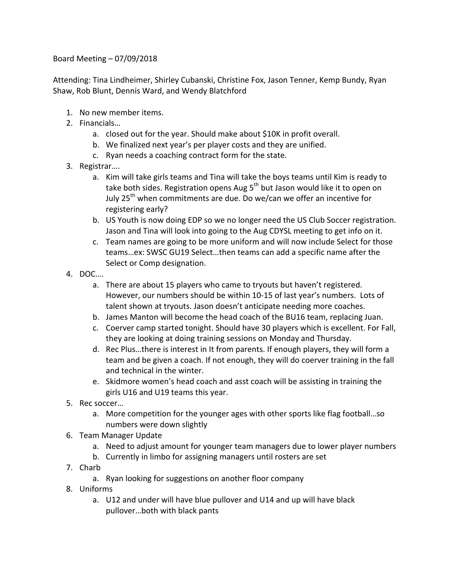Board Meeting  $-07/09/2018$ 

Attending: Tina Lindheimer, Shirley Cubanski, Christine Fox, Jason Tenner, Kemp Bundy, Ryan Shaw, Rob Blunt, Dennis Ward, and Wendy Blatchford

- 1. No new member items.
- 2. Financials…
	- a. closed out for the year. Should make about \$10K in profit overall.
	- b. We finalized next year's per player costs and they are unified.
	- c. Ryan needs a coaching contract form for the state.
- 3. Registrar….
	- a. Kim will take girls teams and Tina will take the boys teams until Kim is ready to take both sides. Registration opens Aug  $5<sup>th</sup>$  but Jason would like it to open on July 25<sup>th</sup> when commitments are due. Do we/can we offer an incentive for registering early?
	- b. US Youth is now doing EDP so we no longer need the US Club Soccer registration. Jason and Tina will look into going to the Aug CDYSL meeting to get info on it.
	- c. Team names are going to be more uniform and will now include Select for those teams...ex: SWSC GU19 Select...then teams can add a specific name after the Select or Comp designation.
- 4. DOC….
	- a. There are about 15 players who came to tryouts but haven't registered. However, our numbers should be within 10-15 of last year's numbers. Lots of talent shown at tryouts. Jason doesn't anticipate needing more coaches.
	- b. James Manton will become the head coach of the BU16 team, replacing Juan.
	- c. Coerver camp started tonight. Should have 30 players which is excellent. For Fall, they are looking at doing training sessions on Monday and Thursday.
	- d. Rec Plus...there is interest in It from parents. If enough players, they will form a team and be given a coach. If not enough, they will do coerver training in the fall and technical in the winter.
	- e. Skidmore women's head coach and asst coach will be assisting in training the girls U16 and U19 teams this year.
- 5. Rec soccer...
	- a. More competition for the younger ages with other sports like flag football...so numbers were down slightly
- 6. Team Manager Update
	- a. Need to adjust amount for younger team managers due to lower player numbers
	- b. Currently in limbo for assigning managers until rosters are set
- 7. Charb
	- a. Ryan looking for suggestions on another floor company
- 8. Uniforms
	- a. U12 and under will have blue pullover and U14 and up will have black pullover...both with black pants